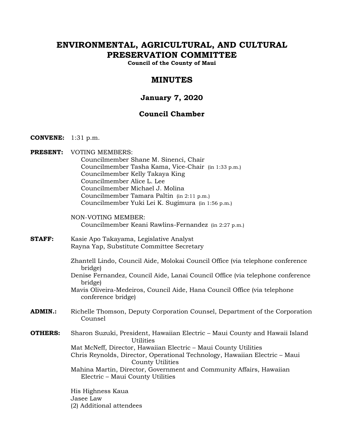# **ENVIRONMENTAL, AGRICULTURAL, AND CULTURAL PRESERVATION COMMITTEE**

**Council of the County of Maui**

## **MINUTES**

## **January 7, 2020**

## **Council Chamber**

- **CONVENE:** 1:31 p.m.
- **PRESENT:** VOTING MEMBERS: Councilmember Shane M. Sinenci, Chair Councilmember Tasha Kama, Vice-Chair (in 1:33 p.m.) Councilmember Kelly Takaya King Councilmember Alice L. Lee Councilmember Michael J. Molina Councilmember Tamara Paltin (in 2:11 p.m.) Councilmember Yuki Lei K. Sugimura (in 1:56 p.m.)
	- NON-VOTING MEMBER: Councilmember Keani Rawlins-Fernandez (in 2:27 p.m.)
- **STAFF:** Kasie Apo Takayama, Legislative Analyst Rayna Yap, Substitute Committee Secretary
	- Zhantell Lindo, Council Aide, Molokai Council Office (via telephone conference bridge)
	- Denise Fernandez, Council Aide, Lanai Council Office (via telephone conference bridge)
	- Mavis Oliveira-Medeiros, Council Aide, Hana Council Office (via telephone conference bridge)
- **ADMIN.:** Richelle Thomson, Deputy Corporation Counsel, Department of the Corporation Counsel
- **OTHERS:** Sharon Suzuki, President, Hawaiian Electric Maui County and Hawaii Island **Utilities** Mat McNeff, Director, Hawaiian Electric – Maui County Utilities Chris Reynolds, Director, Operational Technology, Hawaiian Electric – Maui County Utilities Mahina Martin, Director, Government and Community Affairs, Hawaiian Electric – Maui County Utilities

His Highness Kaua Jasee Law (2) Additional attendees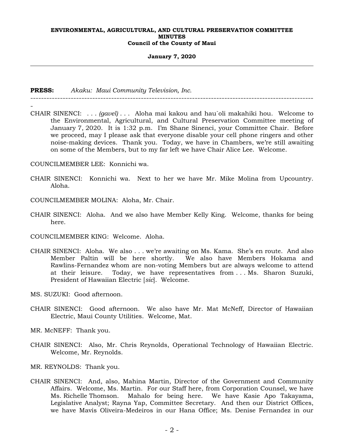#### **January 7, 2020**

**PRESS:** *Akaku: Maui Community Television, Inc.*

- CHAIR SINENCI: . . . *(gavel)* . . . Aloha mai kakou and hau`oli makahiki hou. Welcome to the Environmental, Agricultural, and Cultural Preservation Committee meeting of January 7, 2020. It is 1:32 p.m. I'm Shane Sinenci, your Committee Chair. Before we proceed, may I please ask that everyone disable your cell phone ringers and other noise-making devices. Thank you. Today, we have in Chambers, we're still awaiting on some of the Members, but to my far left we have Chair Alice Lee. Welcome.

---------------------------------------------------------------------------------------------------------

COUNCILMEMBER LEE: Konnichi wa.

- CHAIR SINENCI: Konnichi wa. Next to her we have Mr. Mike Molina from Upcountry. Aloha.
- COUNCILMEMBER MOLINA: Aloha, Mr. Chair.
- CHAIR SINENCI: Aloha. And we also have Member Kelly King. Welcome, thanks for being here.
- COUNCILMEMBER KING: Welcome. Aloha.
- CHAIR SINENCI: Aloha. We also . . . we're awaiting on Ms. Kama. She's en route. And also Member Paltin will be here shortly. We also have Members Hokama and Rawlins-Fernandez whom are non-voting Members but are always welcome to attend at their leisure. Today, we have representatives from . . . Ms. Sharon Suzuki, President of Hawaiian Electric [*sic*]. Welcome.
- MS. SUZUKI: Good afternoon.
- CHAIR SINENCI: Good afternoon. We also have Mr. Mat McNeff, Director of Hawaiian Electric, Maui County Utilities. Welcome, Mat.
- MR. McNEFF: Thank you.
- CHAIR SINENCI: Also, Mr. Chris Reynolds, Operational Technology of Hawaiian Electric. Welcome, Mr. Reynolds.
- MR. REYNOLDS: Thank you.
- CHAIR SINENCI: And, also, Mahina Martin, Director of the Government and Community Affairs. Welcome, Ms. Martin. For our Staff here, from Corporation Counsel, we have Ms. Richelle Thomson. Mahalo for being here. We have Kasie Apo Takayama, Legislative Analyst; Rayna Yap, Committee Secretary. And then our District Offices, we have Mavis Oliveira-Medeiros in our Hana Office; Ms. Denise Fernandez in our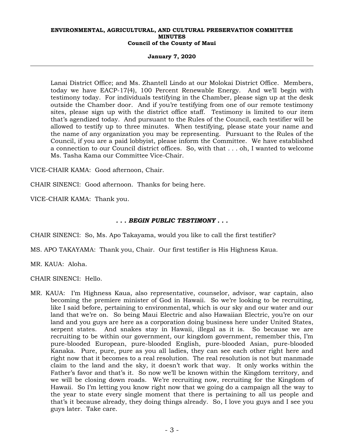#### **January 7, 2020**

Lanai District Office; and Ms. Zhantell Lindo at our Molokai District Office. Members, today we have EACP-17(4), 100 Percent Renewable Energy. And we'll begin with testimony today. For individuals testifying in the Chamber, please sign up at the desk outside the Chamber door. And if you're testifying from one of our remote testimony sites, please sign up with the district office staff. Testimony is limited to our item that's agendized today. And pursuant to the Rules of the Council, each testifier will be allowed to testify up to three minutes. When testifying, please state your name and the name of any organization you may be representing. Pursuant to the Rules of the Council, if you are a paid lobbyist, please inform the Committee. We have established a connection to our Council district offices. So, with that . . . oh, I wanted to welcome Ms. Tasha Kama our Committee Vice-Chair.

VICE-CHAIR KAMA: Good afternoon, Chair.

CHAIR SINENCI: Good afternoon. Thanks for being here.

VICE-CHAIR KAMA: Thank you.

#### *. . . BEGIN PUBLIC TESTIMONY . . .*

CHAIR SINENCI: So, Ms. Apo Takayama, would you like to call the first testifier?

MS. APO TAKAYAMA: Thank you, Chair. Our first testifier is His Highness Kaua.

MR. KAUA: Aloha.

CHAIR SINENCI: Hello.

MR. KAUA: I'm Highness Kaua, also representative, counselor, advisor, war captain, also becoming the premiere minister of God in Hawaii. So we're looking to be recruiting, like I said before, pertaining to environmental, which is our sky and our water and our land that we're on. So being Maui Electric and also Hawaiian Electric, you're on our land and you guys are here as a corporation doing business here under United States, serpent states. And snakes stay in Hawaii, illegal as it is. So because we are recruiting to be within our government, our kingdom government, remember this, I'm pure-blooded European, pure-blooded English, pure-blooded Asian, pure-blooded Kanaka. Pure, pure, pure as you all ladies, they can see each other right here and right now that it becomes to a real resolution. The real resolution is not but manmade claim to the land and the sky, it doesn't work that way. It only works within the Father's favor and that's it. So now we'll be known within the Kingdom territory, and we will be closing down roads. We're recruiting now, recruiting for the Kingdom of Hawaii. So I'm letting you know right now that we going do a campaign all the way to the year to state every single moment that there is pertaining to all us people and that's it because already, they doing things already. So, I love you guys and I see you guys later. Take care.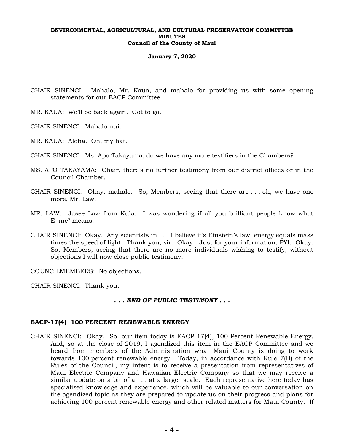#### **January 7, 2020**

CHAIR SINENCI: Mahalo, Mr. Kaua, and mahalo for providing us with some opening statements for our EACP Committee.

MR. KAUA: We'll be back again. Got to go.

CHAIR SINENCI: Mahalo nui.

MR. KAUA: Aloha. Oh, my hat.

CHAIR SINENCI: Ms. Apo Takayama, do we have any more testifiers in the Chambers?

- MS. APO TAKAYAMA: Chair, there's no further testimony from our district offices or in the Council Chamber.
- CHAIR SINENCI: Okay, mahalo. So, Members, seeing that there are . . . oh, we have one more, Mr. Law.
- MR. LAW: Jasee Law from Kula. I was wondering if all you brilliant people know what  $E=mc^2$  means.
- CHAIR SINENCI: Okay. Any scientists in . . . I believe it's Einstein's law, energy equals mass times the speed of light. Thank you, sir. Okay. Just for your information, FYI. Okay. So, Members, seeing that there are no more individuals wishing to testify, without objections I will now close public testimony.

COUNCILMEMBERS: No objections.

CHAIR SINENCI: Thank you.

### *. . . END OF PUBLIC TESTIMONY . . .*

#### **EACP-17(4) 100 PERCENT RENEWABLE ENERGY**

CHAIR SINENCI: Okay. So. our item today is EACP-17(4), 100 Percent Renewable Energy. And, so at the close of 2019, I agendized this item in the EACP Committee and we heard from members of the Administration what Maui County is doing to work towards 100 percent renewable energy. Today, in accordance with Rule  $\overline{7}$ (B) of the Rules of the Council, my intent is to receive a presentation from representatives of Maui Electric Company and Hawaiian Electric Company so that we may receive a similar update on a bit of a . . . at a larger scale. Each representative here today has specialized knowledge and experience, which will be valuable to our conversation on the agendized topic as they are prepared to update us on their progress and plans for achieving 100 percent renewable energy and other related matters for Maui County. If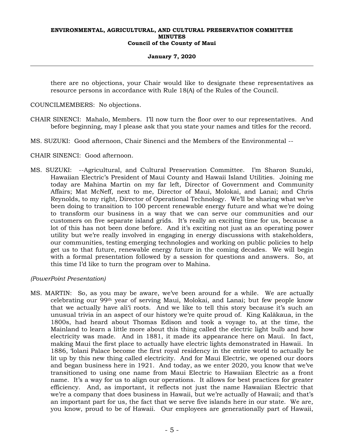#### **January 7, 2020**

there are no objections, your Chair would like to designate these representatives as resource persons in accordance with Rule 18(A) of the Rules of the Council.

COUNCILMEMBERS: No objections.

- CHAIR SINENCI: Mahalo, Members. I'll now turn the floor over to our representatives. And before beginning, may I please ask that you state your names and titles for the record.
- MS. SUZUKI: Good afternoon, Chair Sinenci and the Members of the Environmental --

CHAIR SINENCI: Good afternoon.

MS. SUZUKI: --Agricultural, and Cultural Preservation Committee. I'm Sharon Suzuki, Hawaiian Electric's President of Maui County and Hawaii Island Utilities. Joining me today are Mahina Martin on my far left, Director of Government and Community Affairs; Mat McNeff, next to me, Director of Maui, Molokai, and Lanai; and Chris Reynolds, to my right, Director of Operational Technology. We'll be sharing what we've been doing to transition to 100 percent renewable energy future and what we're doing to transform our business in a way that we can serve our communities and our customers on five separate island grids. It's really an exciting time for us, because a lot of this has not been done before. And it's exciting not just as an operating power utility but we're really involved in engaging in energy discussions with stakeholders, our communities, testing emerging technologies and working on public policies to help get us to that future, renewable energy future in the coming decades. We will begin with a formal presentation followed by a session for questions and answers. So, at this time I'd like to turn the program over to Mahina.

## *(PowerPoint Presentation)*

MS. MARTIN: So, as you may be aware, we've been around for a while. We are actually celebrating our 99th year of serving Maui, Molokai, and Lanai; but few people know that we actually have ali'i roots. And we like to tell this story because it's such an unusual trivia in an aspect of our history we're quite proud of. King Kalākaua, in the 1800s, had heard about Thomas Edison and took a voyage to, at the time, the Mainland to learn a little more about this thing called the electric light bulb and how electricity was made. And in 1881, it made its appearance here on Maui. In fact, making Maui the first place to actually have electric lights demonstrated in Hawaii. In 1886, 'Iolani Palace become the first royal residency in the entire world to actually be lit up by this new thing called electricity. And for Maui Electric, we opened our doors and began business here in 1921. And today, as we enter 2020, you know that we've transitioned to using one name from Maui Electric to Hawaiian Electric as a front name. It's a way for us to align our operations. It allows for best practices for greater efficiency. And, as important, it reflects not just the name Hawaiian Electric that we're a company that does business in Hawaii, but we're actually of Hawaii; and that's an important part for us, the fact that we serve five islands here in our state. We are, you know, proud to be of Hawaii. Our employees are generationally part of Hawaii,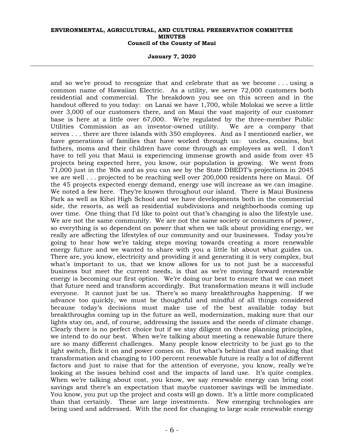**January 7, 2020**

and so we're proud to recognize that and celebrate that as we become . . . using a common name of Hawaiian Electric. As a utility, we serve 72,000 customers both residential and commercial. The breakdown you see on this screen and in the handout offered to you today: on Lanai we have 1,700, while Molokai we serve a little over 3,000 of our customers there, and on Maui the vast majority of our customer base is here at a little over 67,000. We're regulated by the three-member Public Utilities Commission as an investor-owned utility. We are a company that serves . . . there are three islands with 350 employees. And as I mentioned earlier, we have generations of families that have worked through us: uncles, cousins, but fathers, moms and their children have come through as employees as well. I don't have to tell you that Maui is experiencing immense growth and aside from over 45 projects being expected here, you know, our population is growing. We went from 71,000 just in the '80s and as you can see by the State DBEDT's projections in 2045 we are well . . . projected to be reaching well over 200,000 residents here on Maui. Of the 45 projects expected energy demand, energy use will increase as we can imagine. We noted a few here. They're known throughout our island. There is Maui Business Park as well as Kihei High School and we have developments both in the commercial side, the resorts, as well as residential subdivisions and neighborhoods coming up over time. One thing that I'd like to point out that's changing is also the lifestyle use. We are not the same community. We are not the same society or consumers of power, so everything is so dependent on power that when we talk about providing energy, we really are affecting the lifestyles of our community and our businesses. Today you're going to hear how we're taking steps moving towards creating a more renewable energy future and we wanted to share with you a little bit about what guides us. There are, you know, electricity and providing it and generating it is very complex, but what's important to us, that we know allows for us to not just be a successful business but meet the current needs, is that as we're moving forward renewable energy is becoming our first option. We're doing our best to ensure that we can meet that future need and transform accordingly. But transformation means it will include everyone. It cannot just be us. There's so many breakthroughs happening. If we advance too quickly, we must be thoughtful and mindful of all things considered because today's decisions must make use of the best available today but breakthroughs coming up in the future as well, modernization, making sure that our lights stay on, and, of course, addressing the issues and the needs of climate change. Clearly there is no perfect choice but if we stay diligent on these planning principles, we intend to do our best. When we're talking about meeting a renewable future there are so many different challenges. Many people know electricity to be just go to the light switch, flick it on and power comes on. But what's behind that and making that transformation and changing to 100 percent renewable future is really a lot of different factors and just to raise that for the attention of everyone, you know, really we're looking at the issues behind cost and the impacts of land use. It's quite complex. When we're talking about cost, you know, we say renewable energy can bring cost savings and there's an expectation that maybe customer savings will be immediate. You know, you put up the project and costs will go down. It's a little more complicated than that certainly. These are large investments. New emerging technologies are being used and addressed. With the need for changing to large scale renewable energy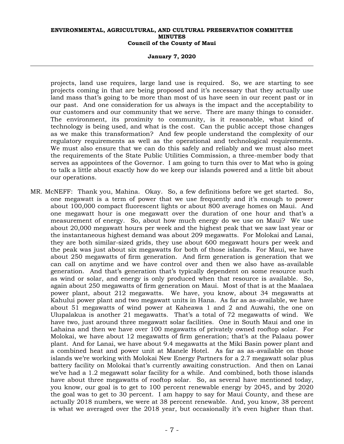#### **January 7, 2020**

projects, land use requires, large land use is required. So, we are starting to see projects coming in that are being proposed and it's necessary that they actually use land mass that's going to be more than most of us have seen in our recent past or in our past. And one consideration for us always is the impact and the acceptability to our customers and our community that we serve. There are many things to consider. The environment, its proximity to community, is it reasonable, what kind of technology is being used, and what is the cost. Can the public accept those changes as we make this transformation? And few people understand the complexity of our regulatory requirements as well as the operational and technological requirements. We must also ensure that we can do this safely and reliably and we must also meet the requirements of the State Public Utilities Commission, a three-member body that serves as appointees of the Governor. I am going to turn this over to Mat who is going to talk a little about exactly how do we keep our islands powered and a little bit about our operations.

MR. McNEFF: Thank you, Mahina. Okay. So, a few definitions before we get started. So, one megawatt is a term of power that we use frequently and it's enough to power about 100,000 compact fluorescent lights or about 800 average homes on Maui. And one megawatt hour is one megawatt over the duration of one hour and that's a measurement of energy. So, about how much energy do we use on Maui? We use about 20,000 megawatt hours per week and the highest peak that we saw last year or the instantaneous highest demand was about 209 megawatts. For Molokai and Lanai, they are both similar-sized grids, they use about 600 megawatt hours per week and the peak was just about six megawatts for both of those islands. For Maui, we have about 250 megawatts of firm generation. And firm generation is generation that we can call on anytime and we have control over and then we also have as-available generation. And that's generation that's typically dependent on some resource such as wind or solar, and energy is only produced when that resource is available. So, again about 250 megawatts of firm generation on Maui. Most of that is at the Maalaea power plant, about 212 megawatts. We have, you know, about 34 megawatts at Kahului power plant and two megawatt units in Hana. As far as as-available, we have about 51 megawatts of wind power at Kaheawa 1 and 2 and Auwahi, the one on Ulupalakua is another 21 megawatts. That's a total of 72 megawatts of wind. We have two, just around three megawatt solar facilities. One in South Maui and one in Lahaina and then we have over 100 megawatts of privately owned rooftop solar. For Molokai, we have about 12 megawatts of firm generation; that's at the Palaau power plant. And for Lanai, we have about 9.4 megawatts at the Miki Basin power plant and a combined heat and power unit at Manele Hotel. As far as as-available on those islands we're working with Molokai New Energy Partners for a 2.7 megawatt solar plus battery facility on Molokai that's currently awaiting construction. And then on Lanai we've had a 1.2 megawatt solar facility for a while. And combined, both those islands have about three megawatts of rooftop solar. So, as several have mentioned today, you know, our goal is to get to 100 percent renewable energy by 2045, and by 2020 the goal was to get to 30 percent. I am happy to say for Maui County, and these are actually 2018 numbers, we were at 38 percent renewable. And, you know, 38 percent is what we averaged over the 2018 year, but occasionally it's even higher than that.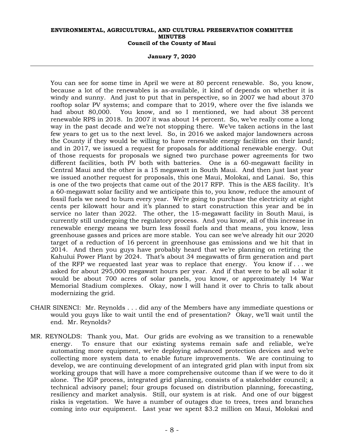**January 7, 2020**

You can see for some time in April we were at 80 percent renewable. So, you know, because a lot of the renewables is as-available, it kind of depends on whether it is windy and sunny. And just to put that in perspective, so in 2007 we had about 370 rooftop solar PV systems; and compare that to 2019, where over the five islands we had about 80,000. You know, and so I mentioned, we had about 38 percent renewable RPS in 2018. In 2007 it was about 14 percent. So, we've really come a long way in the past decade and we're not stopping there. We've taken actions in the last few years to get us to the next level. So, in 2016 we asked major landowners across the County if they would be willing to have renewable energy facilities on their land; and in 2017, we issued a request for proposals for additional renewable energy. Out of those requests for proposals we signed two purchase power agreements for two different facilities, both PV both with batteries. One is a 60-megawatt facility in Central Maui and the other is a 15 megawatt in South Maui. And then just last year we issued another request for proposals, this one Maui, Molokai, and Lanai. So, this is one of the two projects that came out of the 2017 RFP. This is the AES facility. It's a 60-megawatt solar facility and we anticipate this to, you know, reduce the amount of fossil fuels we need to burn every year. We're going to purchase the electricity at eight cents per kilowatt hour and it's planned to start construction this year and be in service no later than 2022. The other, the 15-megawatt facility in South Maui, is currently still undergoing the regulatory process. And you know, all of this increase in renewable energy means we burn less fossil fuels and that means, you know, less greenhouse gasses and prices are more stable. You can see we've already hit our 2020 target of a reduction of 16 percent in greenhouse gas emissions and we hit that in 2014. And then you guys have probably heard that we're planning on retiring the Kahului Power Plant by 2024. That's about 34 megawatts of firm generation and part of the RFP we requested last year was to replace that energy. You know if . . . we asked for about 295,000 megawatt hours per year. And if that were to be all solar it would be about 700 acres of solar panels, you know, or approximately 14 War Memorial Stadium complexes. Okay, now I will hand it over to Chris to talk about modernizing the grid.

- CHAIR SINENCI: Mr. Reynolds . . . did any of the Members have any immediate questions or would you guys like to wait until the end of presentation? Okay, we'll wait until the end. Mr. Reynolds?
- MR. REYNOLDS: Thank you, Mat. Our grids are evolving as we transition to a renewable energy. To ensure that our existing systems remain safe and reliable, we're automating more equipment, we're deploying advanced protection devices and we're collecting more system data to enable future improvements. We are continuing to develop, we are continuing development of an integrated grid plan with input from six working groups that will have a more comprehensive outcome than if we were to do it alone. The IGP process, integrated grid planning, consists of a stakeholder council; a technical advisory panel; four groups focused on distribution planning, forecasting, resiliency and market analysis. Still, our system is at risk. And one of our biggest risks is vegetation. We have a number of outages due to trees, trees and branches coming into our equipment. Last year we spent \$3.2 million on Maui, Molokai and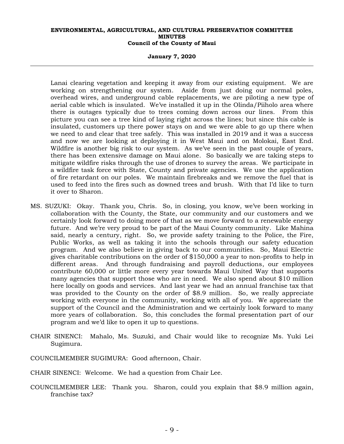**January 7, 2020**

Lanai clearing vegetation and keeping it away from our existing equipment. We are working on strengthening our system. Aside from just doing our normal poles, overhead wires, and underground cable replacements, we are piloting a new type of aerial cable which is insulated. We've installed it up in the Olinda/Piiholo area where there is outages typically due to trees coming down across our lines. From this picture you can see a tree kind of laying right across the lines; but since this cable is insulated, customers up there power stays on and we were able to go up there when we need to and clear that tree safely. This was installed in 2019 and it was a success and now we are looking at deploying it in West Maui and on Molokai, East End. Wildfire is another big risk to our system. As we've seen in the past couple of years, there has been extensive damage on Maui alone. So basically we are taking steps to mitigate wildfire risks through the use of drones to survey the areas. We participate in a wildfire task force with State, County and private agencies. We use the application of fire retardant on our poles. We maintain firebreaks and we remove the fuel that is used to feed into the fires such as downed trees and brush. With that I'd like to turn it over to Sharon.

- MS. SUZUKI: Okay. Thank you, Chris. So, in closing, you know, we've been working in collaboration with the County, the State, our community and our customers and we certainly look forward to doing more of that as we move forward to a renewable energy future. And we're very proud to be part of the Maui County community. Like Mahina said, nearly a century, right. So, we provide safety training to the Police, the Fire, Public Works, as well as taking it into the schools through our safety education program. And we also believe in giving back to our communities. So, Maui Electric gives charitable contributions on the order of \$150,000 a year to non-profits to help in different areas. And through fundraising and payroll deductions, our employees contribute 60,000 or little more every year towards Maui United Way that supports many agencies that support those who are in need. We also spend about \$10 million here locally on goods and services. And last year we had an annual franchise tax that was provided to the County on the order of \$8.9 million. So, we really appreciate working with everyone in the community, working with all of you. We appreciate the support of the Council and the Administration and we certainly look forward to many more years of collaboration. So, this concludes the formal presentation part of our program and we'd like to open it up to questions.
- CHAIR SINENCI: Mahalo, Ms. Suzuki, and Chair would like to recognize Ms. Yuki Lei Sugimura.
- COUNCILMEMBER SUGIMURA: Good afternoon, Chair.
- CHAIR SINENCI: Welcome. We had a question from Chair Lee.
- COUNCILMEMBER LEE: Thank you. Sharon, could you explain that \$8.9 million again, franchise tax?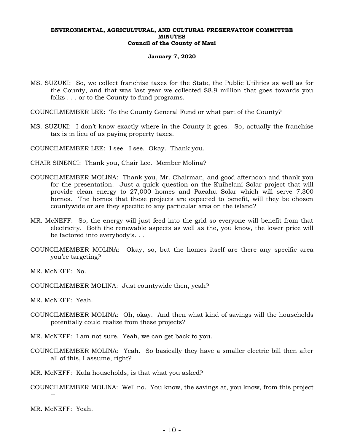#### **January 7, 2020**

- MS. SUZUKI: So, we collect franchise taxes for the State, the Public Utilities as well as for the County, and that was last year we collected \$8.9 million that goes towards you folks . . . or to the County to fund programs.
- COUNCILMEMBER LEE: To the County General Fund or what part of the County?
- MS. SUZUKI: I don't know exactly where in the County it goes. So, actually the franchise tax is in lieu of us paying property taxes.

COUNCILMEMBER LEE: I see. I see. Okay. Thank you.

- CHAIR SINENCI: Thank you, Chair Lee. Member Molina?
- COUNCILMEMBER MOLINA: Thank you, Mr. Chairman, and good afternoon and thank you for the presentation. Just a quick question on the Kuihelani Solar project that will provide clean energy to 27,000 homes and Paeahu Solar which will serve 7,300 homes. The homes that these projects are expected to benefit, will they be chosen countywide or are they specific to any particular area on the island?
- MR. McNEFF: So, the energy will just feed into the grid so everyone will benefit from that electricity. Both the renewable aspects as well as the, you know, the lower price will be factored into everybody's. . .
- COUNCILMEMBER MOLINA: Okay, so, but the homes itself are there any specific area you're targeting?

MR. McNEFF: No.

COUNCILMEMBER MOLINA: Just countywide then, yeah?

MR. McNEFF: Yeah.

- COUNCILMEMBER MOLINA: Oh, okay. And then what kind of savings will the households potentially could realize from these projects?
- MR. McNEFF: I am not sure. Yeah, we can get back to you.
- COUNCILMEMBER MOLINA: Yeah. So basically they have a smaller electric bill then after all of this, I assume, right?
- MR. McNEFF: Kula households, is that what you asked?
- COUNCILMEMBER MOLINA: Well no. You know, the savings at, you know, from this project --

MR. McNEFF: Yeah.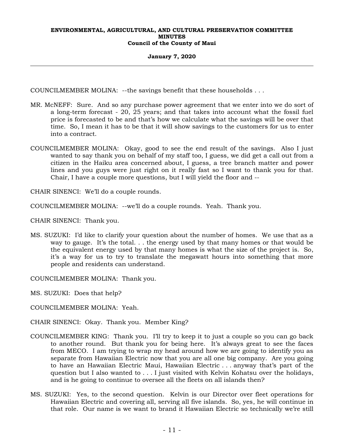#### **January 7, 2020**

COUNCILMEMBER MOLINA: --the savings benefit that these households . . .

- MR. McNEFF: Sure. And so any purchase power agreement that we enter into we do sort of a long-term forecast - 20, 25 years; and that takes into account what the fossil fuel price is forecasted to be and that's how we calculate what the savings will be over that time. So, I mean it has to be that it will show savings to the customers for us to enter into a contract.
- COUNCILMEMBER MOLINA: Okay, good to see the end result of the savings. Also I just wanted to say thank you on behalf of my staff too, I guess, we did get a call out from a citizen in the Haiku area concerned about, I guess, a tree branch matter and power lines and you guys were just right on it really fast so I want to thank you for that. Chair, I have a couple more questions, but I will yield the floor and --

CHAIR SINENCI: We'll do a couple rounds.

COUNCILMEMBER MOLINA: --we'll do a couple rounds. Yeah. Thank you.

CHAIR SINENCI: Thank you.

MS. SUZUKI: I'd like to clarify your question about the number of homes. We use that as a way to gauge. It's the total. . . the energy used by that many homes or that would be the equivalent energy used by that many homes is what the size of the project is. So, it's a way for us to try to translate the megawatt hours into something that more people and residents can understand.

COUNCILMEMBER MOLINA: Thank you.

MS. SUZUKI: Does that help?

COUNCILMEMBER MOLINA: Yeah.

CHAIR SINENCI: Okay. Thank you. Member King?

- COUNCILMEMBER KING: Thank you. I'll try to keep it to just a couple so you can go back to another round. But thank you for being here. It's always great to see the faces from MECO. I am trying to wrap my head around how we are going to identify you as separate from Hawaiian Electric now that you are all one big company. Are you going to have an Hawaiian Electric Maui, Hawaiian Electric . . . anyway that's part of the question but I also wanted to . . . I just visited with Kelvin Kohatsu over the holidays, and is he going to continue to oversee all the fleets on all islands then?
- MS. SUZUKI: Yes, to the second question. Kelvin is our Director over fleet operations for Hawaiian Electric and covering all, serving all five islands. So, yes, he will continue in that role. Our name is we want to brand it Hawaiian Electric so technically we're still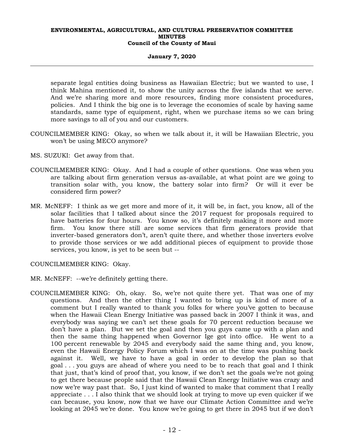#### **January 7, 2020**

separate legal entities doing business as Hawaiian Electric; but we wanted to use, I think Mahina mentioned it, to show the unity across the five islands that we serve. And we're sharing more and more resources, finding more consistent procedures, policies. And I think the big one is to leverage the economies of scale by having same standards, same type of equipment, right, when we purchase items so we can bring more savings to all of you and our customers.

- COUNCILMEMBER KING: Okay, so when we talk about it, it will be Hawaiian Electric, you won't be using MECO anymore?
- MS. SUZUKI: Get away from that.
- COUNCILMEMBER KING: Okay. And I had a couple of other questions. One was when you are talking about firm generation versus as-available, at what point are we going to transition solar with, you know, the battery solar into firm? Or will it ever be considered firm power?
- MR. McNEFF: I think as we get more and more of it, it will be, in fact, you know, all of the solar facilities that I talked about since the 2017 request for proposals required to have batteries for four hours. You know so, it's definitely making it more and more firm. You know there still are some services that firm generators provide that inverter-based generators don't, aren't quite there, and whether those inverters evolve to provide those services or we add additional pieces of equipment to provide those services, you know, is yet to be seen but --

COUNCILMEMBER KING: Okay.

- MR. McNEFF: --we're definitely getting there.
- COUNCILMEMBER KING: Oh, okay. So, we're not quite there yet. That was one of my questions. And then the other thing I wanted to bring up is kind of more of a comment but I really wanted to thank you folks for where you've gotten to because when the Hawaii Clean Energy Initiative was passed back in 2007 I think it was, and everybody was saying we can't set these goals for 70 percent reduction because we don't have a plan. But we set the goal and then you guys came up with a plan and then the same thing happened when Governor Ige got into office. He went to a 100 percent renewable by 2045 and everybody said the same thing and, you know, even the Hawaii Energy Policy Forum which I was on at the time was pushing back against it. Well, we have to have a goal in order to develop the plan so that goal . . . you guys are ahead of where you need to be to reach that goal and I think that just, that's kind of proof that, you know, if we don't set the goals we're not going to get there because people said that the Hawaii Clean Energy Initiative was crazy and now we're way past that. So, I just kind of wanted to make that comment that I really appreciate . . . I also think that we should look at trying to move up even quicker if we can because, you know, now that we have our Climate Action Committee and we're looking at 2045 we're done. You know we're going to get there in 2045 but if we don't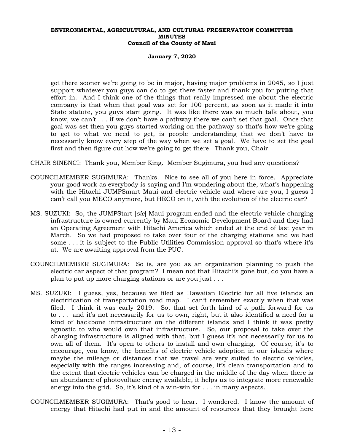**January 7, 2020**

get there sooner we're going to be in major, having major problems in 2045, so I just support whatever you guys can do to get there faster and thank you for putting that effort in. And I think one of the things that really impressed me about the electric company is that when that goal was set for 100 percent, as soon as it made it into State statute, you guys start going. It was like there was so much talk about, you know, we can't . . . if we don't have a pathway there we can't set that goal. Once that goal was set then you guys started working on the pathway so that's how we're going to get to what we need to get, is people understanding that we don't have to necessarily know every step of the way when we set a goal. We have to set the goal first and then figure out how we're going to get there. Thank you, Chair.

CHAIR SINENCI: Thank you, Member King. Member Sugimura, you had any questions?

- COUNCILMEMBER SUGIMURA: Thanks. Nice to see all of you here in force. Appreciate your good work as everybody is saying and I'm wondering about the, what's happening with the Hitachi JUMPSmart Maui and electric vehicle and where are you, I guess I can't call you MECO anymore, but HECO on it, with the evolution of the electric car?
- MS. SUZUKI: So, the JUMPStart [*sic*] Maui program ended and the electric vehicle charging infrastructure is owned currently by Maui Economic Development Board and they had an Operating Agreement with Hitachi America which ended at the end of last year in March. So we had proposed to take over four of the charging stations and we had some . . . it is subject to the Public Utilities Commission approval so that's where it's at. We are awaiting approval from the PUC.
- COUNCILMEMBER SUGIMURA: So is, are you as an organization planning to push the electric car aspect of that program? I mean not that Hitachi's gone but, do you have a plan to put up more charging stations or are you just . . .
- MS. SUZUKI: I guess, yes, because we filed as Hawaiian Electric for all five islands an electrification of transportation road map. I can't remember exactly when that was filed. I think it was early 2019. So, that set forth kind of a path forward for us to . . . and it's not necessarily for us to own, right, but it also identified a need for a kind of backbone infrastructure on the different islands and I think it was pretty agnostic to who would own that infrastructure. So, our proposal to take over the charging infrastructure is aligned with that, but I guess it's not necessarily for us to own all of them. It's open to others to install and own charging. Of course, it's to encourage, you know, the benefits of electric vehicle adoption in our islands where maybe the mileage or distances that we travel are very suited to electric vehicles, especially with the ranges increasing and, of course, it's clean transportation and to the extent that electric vehicles can be charged in the middle of the day when there is an abundance of photovoltaic energy available, it helps us to integrate more renewable energy into the grid. So, it's kind of a win-win for . . . in many aspects.
- COUNCILMEMBER SUGIMURA: That's good to hear. I wondered. I know the amount of energy that Hitachi had put in and the amount of resources that they brought here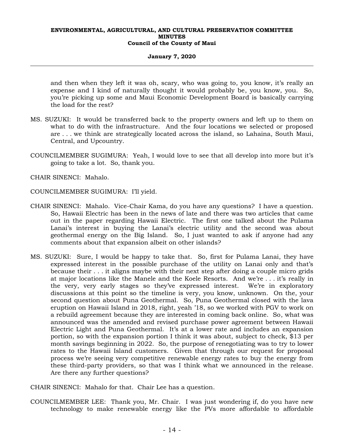#### **January 7, 2020**

and then when they left it was oh, scary, who was going to, you know, it's really an expense and I kind of naturally thought it would probably be, you know, you. So, you're picking up some and Maui Economic Development Board is basically carrying the load for the rest?

- MS. SUZUKI: It would be transferred back to the property owners and left up to them on what to do with the infrastructure. And the four locations we selected or proposed are . . . we think are strategically located across the island, so Lahaina, South Maui, Central, and Upcountry.
- COUNCILMEMBER SUGIMURA: Yeah, I would love to see that all develop into more but it's going to take a lot. So, thank you.
- CHAIR SINENCI: Mahalo.
- COUNCILMEMBER SUGIMURA: I'll yield.
- CHAIR SINENCI: Mahalo. Vice-Chair Kama, do you have any questions? I have a question. So, Hawaii Electric has been in the news of late and there was two articles that came out in the paper regarding Hawaii Electric. The first one talked about the Pulama Lanai's interest in buying the Lanai's electric utility and the second was about geothermal energy on the Big Island. So, I just wanted to ask if anyone had any comments about that expansion albeit on other islands?
- MS. SUZUKI: Sure, I would be happy to take that. So, first for Pulama Lanai, they have expressed interest in the possible purchase of the utility on Lanai only and that's because their . . . it aligns maybe with their next step after doing a couple micro grids at major locations like the Manele and the Koele Resorts. And we're . . . it's really in the very, very early stages so they've expressed interest. We're in exploratory discussions at this point so the timeline is very, you know, unknown. On the, your second question about Puna Geothermal. So, Puna Geothermal closed with the lava eruption on Hawaii Island in 2018, right, yeah '18, so we worked with PGV to work on a rebuild agreement because they are interested in coming back online. So, what was announced was the amended and revised purchase power agreement between Hawaii Electric Light and Puna Geothermal. It's at a lower rate and includes an expansion portion, so with the expansion portion I think it was about, subject to check, \$13 per month savings beginning in 2022. So, the purpose of renegotiating was to try to lower rates to the Hawaii Island customers. Given that through our request for proposal process we're seeing very competitive renewable energy rates to buy the energy from these third-party providers, so that was I think what we announced in the release. Are there any further questions?
- CHAIR SINENCI: Mahalo for that. Chair Lee has a question.
- COUNCILMEMBER LEE: Thank you, Mr. Chair. I was just wondering if, do you have new technology to make renewable energy like the PVs more affordable to affordable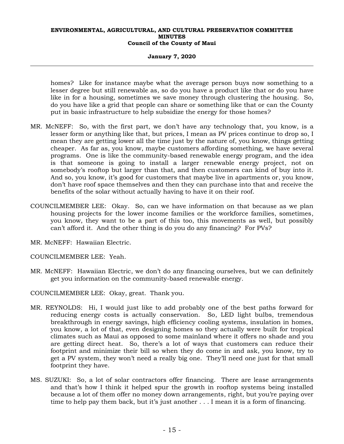### **January 7, 2020**

homes? Like for instance maybe what the average person buys now something to a lesser degree but still renewable as, so do you have a product like that or do you have like in for a housing, sometimes we save money through clustering the housing. So, do you have like a grid that people can share or something like that or can the County put in basic infrastructure to help subsidize the energy for those homes?

- MR. McNEFF: So, with the first part, we don't have any technology that, you know, is a lesser form or anything like that, but prices, I mean as PV prices continue to drop so, I mean they are getting lower all the time just by the nature of, you know, things getting cheaper. As far as, you know, maybe customers affording something, we have several programs. One is like the community-based renewable energy program, and the idea is that someone is going to install a larger renewable energy project, not on somebody's rooftop but larger than that, and then customers can kind of buy into it. And so, you know, it's good for customers that maybe live in apartments or, you know, don't have roof space themselves and then they can purchase into that and receive the benefits of the solar without actually having to have it on their roof.
- COUNCILMEMBER LEE: Okay. So, can we have information on that because as we plan housing projects for the lower income families or the workforce families, sometimes, you know, they want to be a part of this too, this movements as well, but possibly can't afford it. And the other thing is do you do any financing? For PVs?
- MR. McNEFF: Hawaiian Electric.
- COUNCILMEMBER LEE: Yeah.
- MR. McNEFF: Hawaiian Electric, we don't do any financing ourselves, but we can definitely get you information on the community-based renewable energy.
- COUNCILMEMBER LEE: Okay, great. Thank you.
- MR. REYNOLDS: Hi, I would just like to add probably one of the best paths forward for reducing energy costs is actually conservation. So, LED light bulbs, tremendous breakthrough in energy savings, high efficiency cooling systems, insulation in homes, you know, a lot of that, even designing homes so they actually were built for tropical climates such as Maui as opposed to some mainland where it offers no shade and you are getting direct heat. So, there's a lot of ways that customers can reduce their footprint and minimize their bill so when they do come in and ask, you know, try to get a PV system, they won't need a really big one. They'll need one just for that small footprint they have.
- MS. SUZUKI: So, a lot of solar contractors offer financing. There are lease arrangements and that's how I think it helped spur the growth in rooftop systems being installed because a lot of them offer no money down arrangements, right, but you're paying over time to help pay them back, but it's just another . . . I mean it is a form of financing.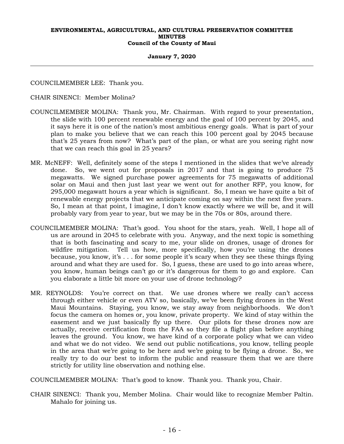#### **January 7, 2020**

COUNCILMEMBER LEE: Thank you.

CHAIR SINENCI: Member Molina?

- COUNCILMEMBER MOLINA: Thank you, Mr. Chairman. With regard to your presentation, the slide with 100 percent renewable energy and the goal of 100 percent by 2045, and it says here it is one of the nation's most ambitious energy goals. What is part of your plan to make you believe that we can reach this 100 percent goal by 2045 because that's 25 years from now? What's part of the plan, or what are you seeing right now that we can reach this goal in 25 years?
- MR. McNEFF: Well, definitely some of the steps I mentioned in the slides that we've already done. So, we went out for proposals in 2017 and that is going to produce 75 megawatts. We signed purchase power agreements for 75 megawatts of additional solar on Maui and then just last year we went out for another RFP, you know, for 295,000 megawatt hours a year which is significant. So, I mean we have quite a bit of renewable energy projects that we anticipate coming on say within the next five years. So, I mean at that point, I imagine, I don't know exactly where we will be, and it will probably vary from year to year, but we may be in the 70s or 80s, around there.
- COUNCILMEMBER MOLINA: That's good. You shoot for the stars, yeah. Well, I hope all of us are around in 2045 to celebrate with you. Anyway, and the next topic is something that is both fascinating and scary to me, your slide on drones, usage of drones for wildfire mitigation. Tell us how, more specifically, how you're using the drones because, you know, it's . . . for some people it's scary when they see these things flying around and what they are used for. So, I guess, these are used to go into areas where, you know, human beings can't go or it's dangerous for them to go and explore. Can you elaborate a little bit more on your use of drone technology?
- MR. REYNOLDS: You're correct on that. We use drones where we really can't access through either vehicle or even ATV so, basically, we've been flying drones in the West Maui Mountains. Staying, you know, we stay away from neighborhoods. We don't focus the camera on homes or, you know, private property. We kind of stay within the easement and we just basically fly up there. Our pilots for these drones now are actually, receive certification from the FAA so they file a flight plan before anything leaves the ground. You know, we have kind of a corporate policy what we can video and what we do not video. We send out public notifications, you know, telling people in the area that we're going to be here and we're going to be flying a drone. So, we really try to do our best to inform the public and reassure them that we are there strictly for utility line observation and nothing else.

COUNCILMEMBER MOLINA: That's good to know. Thank you. Thank you, Chair.

CHAIR SINENCI: Thank you, Member Molina. Chair would like to recognize Member Paltin. Mahalo for joining us.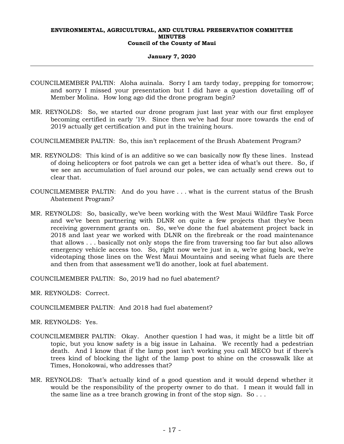#### **January 7, 2020**

- COUNCILMEMBER PALTIN: Aloha auinala. Sorry I am tardy today, prepping for tomorrow; and sorry I missed your presentation but I did have a question dovetailing off of Member Molina. How long ago did the drone program begin?
- MR. REYNOLDS: So, we started our drone program just last year with our first employee becoming certified in early '19. Since then we've had four more towards the end of 2019 actually get certification and put in the training hours.
- COUNCILMEMBER PALTIN: So, this isn't replacement of the Brush Abatement Program?
- MR. REYNOLDS: This kind of is an additive so we can basically now fly these lines. Instead of doing helicopters or foot patrols we can get a better idea of what's out there. So, if we see an accumulation of fuel around our poles, we can actually send crews out to clear that.
- COUNCILMEMBER PALTIN: And do you have . . . what is the current status of the Brush Abatement Program?
- MR. REYNOLDS: So, basically, we've been working with the West Maui Wildfire Task Force and we've been partnering with DLNR on quite a few projects that they've been receiving government grants on. So, we've done the fuel abatement project back in 2018 and last year we worked with DLNR on the firebreak or the road maintenance that allows . . . basically not only stops the fire from traversing too far but also allows emergency vehicle access too. So, right now we're just in a, we're going back, we're videotaping those lines on the West Maui Mountains and seeing what fuels are there and then from that assessment we'll do another, look at fuel abatement.

COUNCILMEMBER PALTIN: So, 2019 had no fuel abatement?

- MR. REYNOLDS: Correct.
- COUNCILMEMBER PALTIN: And 2018 had fuel abatement?
- MR. REYNOLDS: Yes.
- COUNCILMEMBER PALTIN: Okay. Another question I had was, it might be a little bit off topic, but you know safety is a big issue in Lahaina. We recently had a pedestrian death. And I know that if the lamp post isn't working you call MECO but if there's trees kind of blocking the light of the lamp post to shine on the crosswalk like at Times, Honokowai, who addresses that?
- MR. REYNOLDS: That's actually kind of a good question and it would depend whether it would be the responsibility of the property owner to do that. I mean it would fall in the same line as a tree branch growing in front of the stop sign. So  $\dots$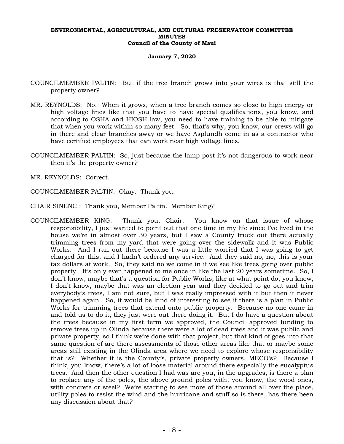#### **January 7, 2020**

- COUNCILMEMBER PALTIN: But if the tree branch grows into your wires is that still the property owner?
- MR. REYNOLDS: No. When it grows, when a tree branch comes so close to high energy or high voltage lines like that you have to have special qualifications, you know, and according to OSHA and HIOSH law, you need to have training to be able to mitigate that when you work within so many feet. So, that's why, you know, our crews will go in there and clear branches away or we have Asplundh come in as a contractor who have certified employees that can work near high voltage lines.
- COUNCILMEMBER PALTIN: So, just because the lamp post it's not dangerous to work near then it's the property owner?
- MR. REYNOLDS: Correct.

COUNCILMEMBER PALTIN: Okay. Thank you.

CHAIR SINENCI: Thank you, Member Paltin. Member King?

COUNCILMEMBER KING: Thank you, Chair. You know on that issue of whose responsibility, I just wanted to point out that one time in my life since I've lived in the house we're in almost over 30 years, but I saw a County truck out there actually trimming trees from my yard that were going over the sidewalk and it was Public Works. And I ran out there because I was a little worried that I was going to get charged for this, and I hadn't ordered any service. And they said no, no, this is your tax dollars at work. So, they said no we come in if we see like trees going over public property. It's only ever happened to me once in like the last 20 years sometime. So, I don't know, maybe that's a question for Public Works, like at what point do, you know, I don't know, maybe that was an election year and they decided to go out and trim everybody's trees, I am not sure, but I was really impressed with it but then it never happened again. So, it would be kind of interesting to see if there is a plan in Public Works for trimming trees that extend onto public property. Because no one came in and told us to do it, they just were out there doing it. But I do have a question about the trees because in my first term we approved, the Council approved funding to remove trees up in Olinda because there were a lot of dead trees and it was public and private property, so I think we're done with that project, but that kind of goes into that same question of are there assessments of those other areas like that or maybe some areas still existing in the Olinda area where we need to explore whose responsibility that is? Whether it is the County's, private property owners, MECO's? Because I think, you know, there's a lot of loose material around there especially the eucalyptus trees. And then the other question I had was are you, in the upgrades, is there a plan to replace any of the poles, the above ground poles with, you know, the wood ones, with concrete or steel? We're starting to see more of those around all over the place, utility poles to resist the wind and the hurricane and stuff so is there, has there been any discussion about that?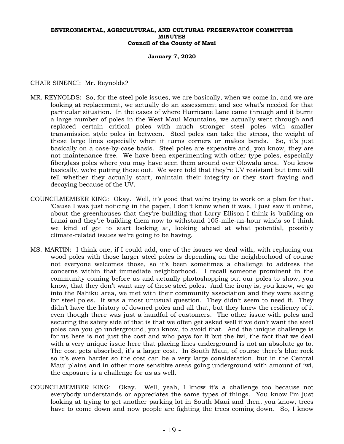#### **January 7, 2020**

CHAIR SINENCI: Mr. Reynolds?

- MR. REYNOLDS: So, for the steel pole issues, we are basically, when we come in, and we are looking at replacement, we actually do an assessment and see what's needed for that particular situation. In the cases of where Hurricane Lane came through and it burnt a large number of poles in the West Maui Mountains, we actually went through and replaced certain critical poles with much stronger steel poles with smaller transmission style poles in between. Steel poles can take the stress, the weight of these large lines especially when it turns corners or makes bends. So, it's just basically on a case-by-case basis. Steel poles are expensive and, you know, they are not maintenance free. We have been experimenting with other type poles, especially fiberglass poles where you may have seen them around over Olowalu area. You know basically, we're putting those out. We were told that they're UV resistant but time will tell whether they actually start, maintain their integrity or they start fraying and decaying because of the UV.
- COUNCILMEMBER KING: Okay. Well, it's good that we're trying to work on a plan for that. 'Cause I was just noticing in the paper, I don't know when it was, I just saw it online, about the greenhouses that they're building that Larry Ellison I think is building on Lanai and they're building them now to withstand 105-mile-an-hour winds so I think we kind of got to start looking at, looking ahead at what potential, possibly climate-related issues we're going to be having.
- MS. MARTIN: I think one, if I could add, one of the issues we deal with, with replacing our wood poles with those larger steel poles is depending on the neighborhood of course not everyone welcomes those, so it's been sometimes a challenge to address the concerns within that immediate neighborhood. I recall someone prominent in the community coming before us and actually photoshopping out our poles to show, you know, that they don't want any of these steel poles. And the irony is, you know, we go into the Nahiku area, we met with their community association and they were asking for steel poles. It was a most unusual question. They didn't seem to need it. They didn't have the history of downed poles and all that, but they knew the resiliency of it even though there was just a handful of customers. The other issue with poles and securing the safety side of that is that we often get asked well if we don't want the steel poles can you go underground, you know, to avoid that. And the unique challenge is for us here is not just the cost and who pays for it but the iwi, the fact that we deal with a very unique issue here that placing lines underground is not an absolute go to. The cost gets absorbed, it's a larger cost. In South Maui, of course there's blue rock so it's even harder so the cost can be a very large consideration, but in the Central Maui plains and in other more sensitive areas going underground with amount of iwi, the exposure is a challenge for us as well.
- COUNCILMEMBER KING: Okay. Well, yeah, I know it's a challenge too because not everybody understands or appreciates the same types of things. You know I'm just looking at trying to get another parking lot in South Maui and then, you know, trees have to come down and now people are fighting the trees coming down. So, I know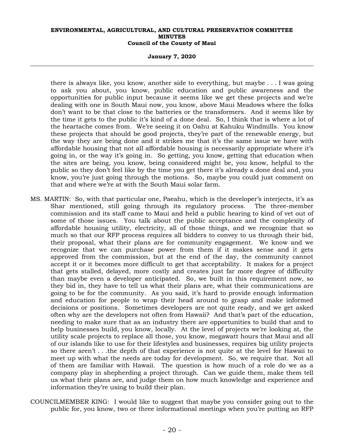#### **January 7, 2020**

there is always like, you know, another side to everything, but maybe . . . I was going to ask you about, you know, public education and public awareness and the opportunities for public input because it seems like we get these projects and we're dealing with one in South Maui now, you know, above Maui Meadows where the folks don't want to be that close to the batteries or the transformers. And it seems like by the time it gets to the public it's kind of a done deal. So, I think that is where a lot of the heartache comes from. We're seeing it on Oahu at Kahuku Windmills. You know these projects that should be good projects, they're part of the renewable energy, but the way they are being done and it strikes me that it's the same issue we have with affordable housing that not all affordable housing is necessarily appropriate where it's going in, or the way it's going in. So getting, you know, getting that education when the sites are being, you know, being considered might be, you know, helpful to the public so they don't feel like by the time you get there it's already a done deal and, you know, you're just going through the motions. So, maybe you could just comment on that and where we're at with the South Maui solar farm.

- MS. MARTIN: So, with that particular one, Paeahu, which is the developer's interjects, it's as Shar mentioned, still going through its regulatory process. The three-member commission and its staff came to Maui and held a public hearing to kind of vet out of some of those issues. You talk about the public acceptance and the complexity of affordable housing utility, electricity, all of those things, and we recognize that so much so that our RFP process requires all bidders to convey to us through their bid, their proposal, what their plans are for community engagement. We know and we recognize that we can purchase power from them if it makes sense and it gets approved from the commission, but at the end of the day, the community cannot accept it or it becomes more difficult to get that acceptability. It makes for a project that gets stalled, delayed, more costly and creates just far more degree of difficulty than maybe even a developer anticipated. So, we built in this requirement now, so they bid in, they have to tell us what their plans are, what their communications are going to be for the community. As you said, it's hard to provide enough information and education for people to wrap their head around to grasp and make informed decisions or positions. Sometimes developers are not quite ready, and we get asked often why are the developers not often from Hawaii? And that's part of the education, needing to make sure that as an industry there are opportunities to build that and to help businesses build, you know, locally. At the level of projects we're looking at, the utility scale projects to replace all those, you know, megawatt hours that Maui and all of our islands like to use for their lifestyles and businesses, requires big utility projects so there aren't . . .the depth of that experience is not quite at the level for Hawaii to meet up with what the needs are today for development. So, we require that. Not all of them are familiar with Hawaii. The question is how much of a role do we as a company play in shepherding a project through. Can we guide them, make them tell us what their plans are, and judge them on how much knowledge and experience and information they're using to build their plan.
- COUNCILMEMBER KING: I would like to suggest that maybe you consider going out to the public for, you know, two or three informational meetings when you're putting an RFP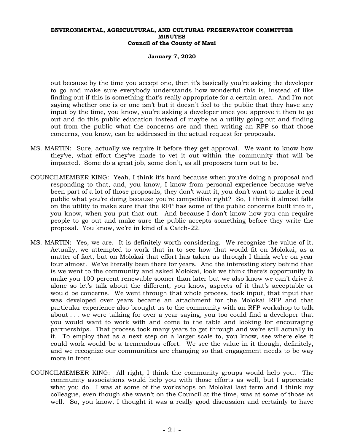#### **January 7, 2020**

out because by the time you accept one, then it's basically you're asking the developer to go and make sure everybody understands how wonderful this is, instead of like finding out if this is something that's really appropriate for a certain area. And I'm not saying whether one is or one isn't but it doesn't feel to the public that they have any input by the time, you know, you're asking a developer once you approve it then to go out and do this public education instead of maybe as a utility going out and finding out from the public what the concerns are and then writing an RFP so that those concerns, you know, can be addressed in the actual request for proposals.

- MS. MARTIN: Sure, actually we require it before they get approval. We want to know how they've, what effort they've made to vet it out within the community that will be impacted. Some do a great job, some don't, as all proposers turn out to be.
- COUNCILMEMBER KING: Yeah, I think it's hard because when you're doing a proposal and responding to that, and, you know, I know from personal experience because we've been part of a lot of those proposals, they don't want it, you don't want to make it real public what you're doing because you're competitive right? So, I think it almost falls on the utility to make sure that the RFP has some of the public concerns built into it, you know, when you put that out. And because I don't know how you can require people to go out and make sure the public accepts something before they write the proposal. You know, we're in kind of a Catch-22.
- MS. MARTIN: Yes, we are. It is definitely worth considering. We recognize the value of it. Actually, we attempted to work that in to see how that would fit on Molokai, as a matter of fact, but on Molokai that effort has taken us through I think we're on year four almost. We've literally been there for years. And the interesting story behind that is we went to the community and asked Molokai, look we think there's opportunity to make you 100 percent renewable sooner than later but we also know we can't drive it alone so let's talk about the different, you know, aspects of it that's acceptable or would be concerns. We went through that whole process, took input, that input that was developed over years became an attachment for the Molokai RFP and that particular experience also brought us to the community with an RFP workshop to talk about . . . we were talking for over a year saying, you too could find a developer that you would want to work with and come to the table and looking for encouraging partnerships. That process took many years to get through and we're still actually in it. To employ that as a next step on a larger scale to, you know, see where else it could work would be a tremendous effort. We see the value in it though, definitely, and we recognize our communities are changing so that engagement needs to be way more in front.
- COUNCILMEMBER KING: All right, I think the community groups would help you. The community associations would help you with those efforts as well, but I appreciate what you do. I was at some of the workshops on Molokai last term and I think my colleague, even though she wasn't on the Council at the time, was at some of those as well. So, you know, I thought it was a really good discussion and certainly to have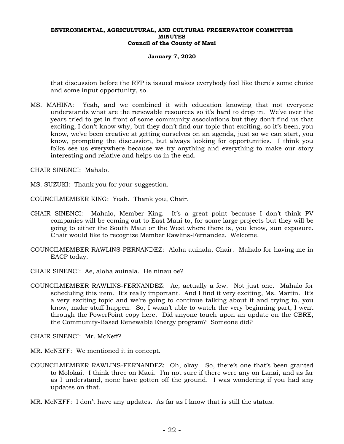#### **January 7, 2020**

that discussion before the RFP is issued makes everybody feel like there's some choice and some input opportunity, so.

MS. MAHINA: Yeah, and we combined it with education knowing that not everyone understands what are the renewable resources so it's hard to drop in. We've over the years tried to get in front of some community associations but they don't find us that exciting, I don't know why, but they don't find our topic that exciting, so it's been, you know, we've been creative at getting ourselves on an agenda, just so we can start, you know, prompting the discussion, but always looking for opportunities. I think you folks see us everywhere because we try anything and everything to make our story interesting and relative and helps us in the end.

CHAIR SINENCI: Mahalo.

- MS. SUZUKI: Thank you for your suggestion.
- COUNCILMEMBER KING: Yeah. Thank you, Chair.
- CHAIR SINENCI: Mahalo, Member King. It's a great point because I don't think PV companies will be coming out to East Maui to, for some large projects but they will be going to either the South Maui or the West where there is, you know, sun exposure. Chair would like to recognize Member Rawlins-Fernandez. Welcome.
- COUNCILMEMBER RAWLINS-FERNANDEZ: Aloha auinala, Chair. Mahalo for having me in EACP today.
- CHAIR SINENCI: Ae, aloha auinala. He ninau oe?
- COUNCILMEMBER RAWLINS-FERNANDEZ: Ae, actually a few. Not just one. Mahalo for scheduling this item. It's really important. And I find it very exciting, Ms. Martin. It's a very exciting topic and we're going to continue talking about it and trying to, you know, make stuff happen. So, I wasn't able to watch the very beginning part, I went through the PowerPoint copy here. Did anyone touch upon an update on the CBRE, the Community-Based Renewable Energy program? Someone did?

CHAIR SINENCI: Mr. McNeff?

- MR. McNEFF: We mentioned it in concept.
- COUNCILMEMBER RAWLINS-FERNANDEZ: Oh, okay. So, there's one that's been granted to Molokai. I think three on Maui. I'm not sure if there were any on Lanai, and as far as I understand, none have gotten off the ground. I was wondering if you had any updates on that.
- MR. McNEFF: I don't have any updates. As far as I know that is still the status.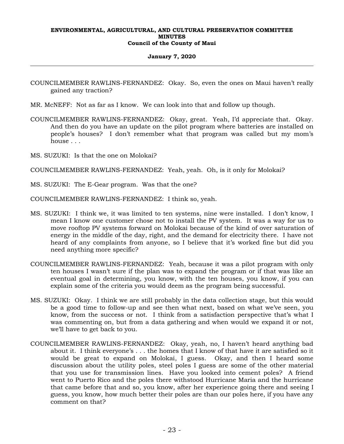#### **January 7, 2020**

- COUNCILMEMBER RAWLINS-FERNANDEZ: Okay. So, even the ones on Maui haven't really gained any traction?
- MR. McNEFF: Not as far as I know. We can look into that and follow up though.
- COUNCILMEMBER RAWLINS-FERNANDEZ: Okay, great. Yeah, I'd appreciate that. Okay. And then do you have an update on the pilot program where batteries are installed on people's houses? I don't remember what that program was called but my mom's house . . .
- MS. SUZUKI: Is that the one on Molokai?

COUNCILMEMBER RAWLINS-FERNANDEZ: Yeah, yeah. Oh, is it only for Molokai?

MS. SUZUKI: The E-Gear program. Was that the one?

COUNCILMEMBER RAWLINS-FERNANDEZ: I think so, yeah.

- MS. SUZUKI: I think we, it was limited to ten systems, nine were installed. I don't know, I mean I know one customer chose not to install the PV system. It was a way for us to move rooftop PV systems forward on Molokai because of the kind of over saturation of energy in the middle of the day, right, and the demand for electricity there. I have not heard of any complaints from anyone, so I believe that it's worked fine but did you need anything more specific?
- COUNCILMEMBER RAWLINS-FERNANDEZ: Yeah, because it was a pilot program with only ten houses I wasn't sure if the plan was to expand the program or if that was like an eventual goal in determining, you know, with the ten houses, you know, if you can explain some of the criteria you would deem as the program being successful.
- MS. SUZUKI: Okay. I think we are still probably in the data collection stage, but this would be a good time to follow-up and see then what next, based on what we've seen, you know, from the success or not. I think from a satisfaction perspective that's what I was commenting on, but from a data gathering and when would we expand it or not, we'll have to get back to you.
- COUNCILMEMBER RAWLINS-FERNANDEZ: Okay, yeah, no, I haven't heard anything bad about it. I think everyone's . . . the homes that I know of that have it are satisfied so it would be great to expand on Molokai, I guess. Okay, and then I heard some discussion about the utility poles, steel poles I guess are some of the other material that you use for transmission lines. Have you looked into cement poles? A friend went to Puerto Rico and the poles there withstood Hurricane Maria and the hurricane that came before that and so, you know, after her experience going there and seeing I guess, you know, how much better their poles are than our poles here, if you have any comment on that?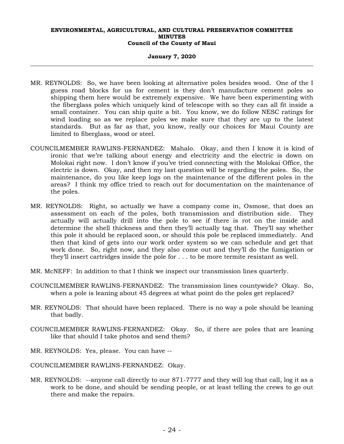#### **January 7, 2020**

- MR. REYNOLDS: So, we have been looking at alternative poles besides wood. One of the I guess road blocks for us for cement is they don't manufacture cement poles so shipping them here would be extremely expensive. We have been experimenting with the fiberglass poles which uniquely kind of telescope with so they can all fit inside a small container. You can ship quite a bit. You know, we do follow NESC ratings for wind loading so as we replace poles we make sure that they are up to the latest standards. But as far as that, you know, really our choices for Maui County are limited to fiberglass, wood or steel.
- COUNCILMEMBER RAWLINS-FERNANDEZ: Mahalo. Okay, and then I know it is kind of ironic that we're talking about energy and electricity and the electric is down on Molokai right now. I don't know if you've tried connecting with the Molokai Office, the electric is down. Okay, and then my last question will be regarding the poles. So, the maintenance, do you like keep logs on the maintenance of the different poles in the areas? I think my office tried to reach out for documentation on the maintenance of the poles.
- MR. REYNOLDS: Right, so actually we have a company come in, Osmose, that does an assessment on each of the poles, both transmission and distribution side. They actually will actually drill into the pole to see if there is rot on the inside and determine the shell thickness and then they'll actually tag that. They'll say whether this pole it should be replaced soon, or should this pole be replaced immediately. And then that kind of gets into our work order system so we can schedule and get that work done. So, right now, and they also come out and they'll do the fumigation or they'll insert cartridges inside the pole for . . . to be more termite resistant as well.
- MR. McNEFF: In addition to that I think we inspect our transmission lines quarterly.
- COUNCILMEMBER RAWLINS-FERNANDEZ: The transmission lines countywide? Okay. So, when a pole is leaning about 45 degrees at what point do the poles get replaced?
- MR. REYNOLDS: That should have been replaced. There is no way a pole should be leaning that badly.
- COUNCILMEMBER RAWLINS-FERNANDEZ: Okay. So, if there are poles that are leaning like that should I take photos and send them?
- MR. REYNOLDS: Yes, please. You can have --
- COUNCILMEMBER RAWLINS-FERNANDEZ: Okay.
- MR. REYNOLDS: --anyone call directly to our 871-7777 and they will log that call, log it as a work to be done, and should be sending people, or at least telling the crews to go out there and make the repairs.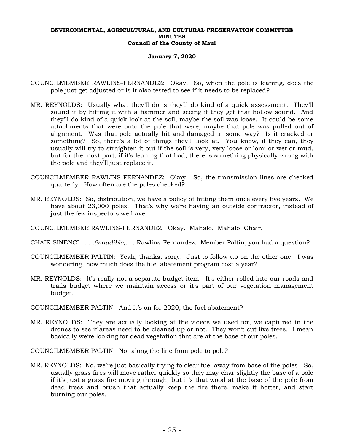#### **January 7, 2020**

- COUNCILMEMBER RAWLINS-FERNANDEZ: Okay. So, when the pole is leaning, does the pole just get adjusted or is it also tested to see if it needs to be replaced?
- MR. REYNOLDS: Usually what they'll do is they'll do kind of a quick assessment. They'll sound it by hitting it with a hammer and seeing if they get that hollow sound. And they'll do kind of a quick look at the soil, maybe the soil was loose. It could be some attachments that were onto the pole that were, maybe that pole was pulled out of alignment. Was that pole actually hit and damaged in some way? Is it cracked or something? So, there's a lot of things they'll look at. You know, if they can, they usually will try to straighten it out if the soil is very, very loose or lomi or wet or mud, but for the most part, if it's leaning that bad, there is something physically wrong with the pole and they'll just replace it.
- COUNCILMEMBER RAWLINS-FERNANDEZ: Okay. So, the transmission lines are checked quarterly. How often are the poles checked?
- MR. REYNOLDS: So, distribution, we have a policy of hitting them once every five years. We have about 23,000 poles. That's why we're having an outside contractor, instead of just the few inspectors we have.
- COUNCILMEMBER RAWLINS-FERNANDEZ: Okay. Mahalo. Mahalo, Chair.
- CHAIR SINENCI: *. . .(inaudible). . .* Rawlins-Fernandez. Member Paltin, you had a question?
- COUNCILMEMBER PALTIN: Yeah, thanks, sorry. Just to follow up on the other one. I was wondering, how much does the fuel abatement program cost a year?
- MR. REYNOLDS: It's really not a separate budget item. It's either rolled into our roads and trails budget where we maintain access or it's part of our vegetation management budget.
- COUNCILMEMBER PALTIN: And it's on for 2020, the fuel abatement?
- MR. REYNOLDS: They are actually looking at the videos we used for, we captured in the drones to see if areas need to be cleaned up or not. They won't cut live trees. I mean basically we're looking for dead vegetation that are at the base of our poles.

COUNCILMEMBER PALTIN: Not along the line from pole to pole?

MR. REYNOLDS: No, we're just basically trying to clear fuel away from base of the poles. So, usually grass fires will move rather quickly so they may char slightly the base of a pole if it's just a grass fire moving through, but it's that wood at the base of the pole from dead trees and brush that actually keep the fire there, make it hotter, and start burning our poles.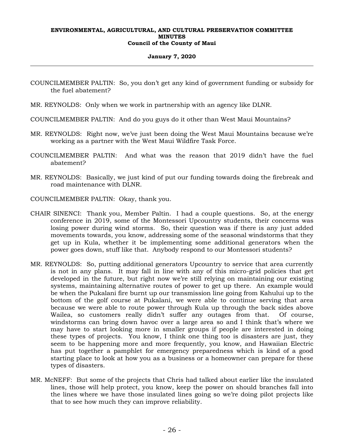#### **January 7, 2020**

COUNCILMEMBER PALTIN: So, you don't get any kind of government funding or subsidy for the fuel abatement?

MR. REYNOLDS: Only when we work in partnership with an agency like DLNR.

COUNCILMEMBER PALTIN: And do you guys do it other than West Maui Mountains?

- MR. REYNOLDS: Right now, we've just been doing the West Maui Mountains because we're working as a partner with the West Maui Wildfire Task Force.
- COUNCILMEMBER PALTIN: And what was the reason that 2019 didn't have the fuel abatement?
- MR. REYNOLDS: Basically, we just kind of put our funding towards doing the firebreak and road maintenance with DLNR.
- COUNCILMEMBER PALTIN: Okay, thank you.
- CHAIR SINENCI: Thank you, Member Paltin. I had a couple questions. So, at the energy conference in 2019, some of the Montessori Upcountry students, their concerns was losing power during wind storms. So, their question was if there is any just added movements towards, you know, addressing some of the seasonal windstorms that they get up in Kula, whether it be implementing some additional generators when the power goes down, stuff like that. Anybody respond to our Montessori students?
- MR. REYNOLDS: So, putting additional generators Upcountry to service that area currently is not in any plans. It may fall in line with any of this micro-grid policies that get developed in the future, but right now we're still relying on maintaining our existing systems, maintaining alternative routes of power to get up there. An example would be when the Pukalani fire burnt up our transmission line going from Kahului up to the bottom of the golf course at Pukalani, we were able to continue serving that area because we were able to route power through Kula up through the back sides above Wailea, so customers really didn't suffer any outages from that. Of course, windstorms can bring down havoc over a large area so and I think that's where we may have to start looking more in smaller groups if people are interested in doing these types of projects. You know, I think one thing too is disasters are just, they seem to be happening more and more frequently, you know, and Hawaiian Electric has put together a pamphlet for emergency preparedness which is kind of a good starting place to look at how you as a business or a homeowner can prepare for these types of disasters.
- MR. McNEFF: But some of the projects that Chris had talked about earlier like the insulated lines, those will help protect, you know, keep the power on should branches fall into the lines where we have those insulated lines going so we're doing pilot projects like that to see how much they can improve reliability.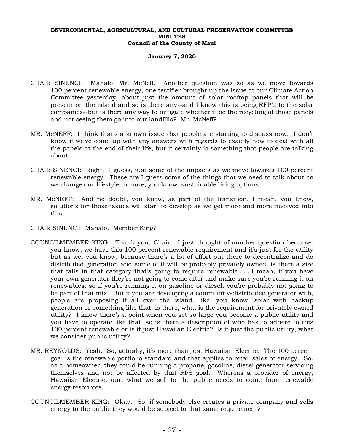#### **January 7, 2020**

- CHAIR SINENCI: Mahalo, Mr. McNeff. Another question was so as we move towards 100 percent renewable energy, one testifier brought up the issue at our Climate Action Committee yesterday, about just the amount of solar rooftop panels that will be present on the island and so is there any--and I know this is being RFP'd to the solar companies--but is there any way to mitigate whether it be the recycling of those panels and not seeing them go into our landfills? Mr. McNeff?
- MR. McNEFF: I think that's a known issue that people are starting to discuss now. I don't know if we've come up with any answers with regards to exactly how to deal with all the panels at the end of their life, but it certainly is something that people are talking about.
- CHAIR SINENCI: Right. I guess, just some of the impacts as we move towards 100 percent renewable energy. These are I guess some of the things that we need to talk about as we change our lifestyle to more, you know, sustainable living options.
- MR. McNEFF: And no doubt, you know, as part of the transition, I mean, you know, solutions for those issues will start to develop as we get more and more involved into this.
- CHAIR SINENCI: Mahalo. Member King?
- COUNCILMEMBER KING: Thank you, Chair. I just thought of another question because, you know, we have this 100 percent renewable requirement and it's just for the utility but as we, you know, because there's a lot of effort out there to decentralize and do distributed generation and some of it will be probably privately owned, is there a size that falls in that category that's going to require renewable . . . I mean, if you have your own generator they're not going to come after and make sure you're running it on renewables, so if you're running it on gasoline or diesel, you're probably not going to be part of that mix. But if you are developing a community-distributed generator with, people are proposing it all over the island, like, you know, solar with backup generation or something like that, is there, what is the requirement for privately owned utility? I know there's a point when you get so large you become a public utility and you have to operate like that, so is there a description of who has to adhere to this 100 percent renewable or is it just Hawaiian Electric? Is it just the public utility, what we consider public utility?
- MR. REYNOLDS: Yeah. So, actually, it's more than just Hawaiian Electric. The 100 percent goal is the renewable portfolio standard and that applies to retail sales of energy. So, as a homeowner, they could be running a propane, gasoline, diesel generator servicing themselves and not be affected by that RPS goal. Whereas a provider of energy, Hawaiian Electric, our, what we sell to the public needs to come from renewable energy resources.
- COUNCILMEMBER KING: Okay. So, if somebody else creates a private company and sells energy to the public they would be subject to that same requirement?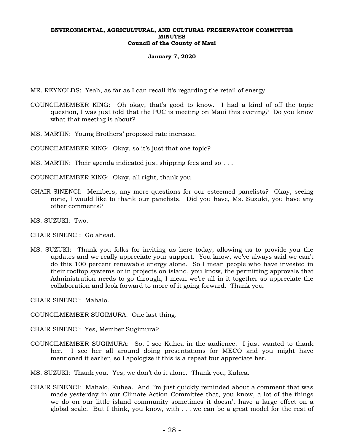#### **January 7, 2020**

- MR. REYNOLDS: Yeah, as far as I can recall it's regarding the retail of energy.
- COUNCILMEMBER KING: Oh okay, that's good to know. I had a kind of off the topic question, I was just told that the PUC is meeting on Maui this evening? Do you know what that meeting is about?
- MS. MARTIN: Young Brothers' proposed rate increase.

COUNCILMEMBER KING: Okay, so it's just that one topic?

MS. MARTIN: Their agenda indicated just shipping fees and so . . .

COUNCILMEMBER KING: Okay, all right, thank you.

- CHAIR SINENCI: Members, any more questions for our esteemed panelists? Okay, seeing none, I would like to thank our panelists. Did you have, Ms. Suzuki, you have any other comments?
- MS. SUZUKI: Two.
- CHAIR SINENCI: Go ahead.
- MS. SUZUKI: Thank you folks for inviting us here today, allowing us to provide you the updates and we really appreciate your support. You know, we've always said we can't do this 100 percent renewable energy alone. So I mean people who have invested in their rooftop systems or in projects on island, you know, the permitting approvals that Administration needs to go through, I mean we're all in it together so appreciate the collaboration and look forward to more of it going forward. Thank you.

CHAIR SINENCI: Mahalo.

COUNCILMEMBER SUGIMURA: One last thing.

CHAIR SINENCI: Yes, Member Sugimura?

COUNCILMEMBER SUGIMURA: So, I see Kuhea in the audience. I just wanted to thank her. I see her all around doing presentations for MECO and you might have mentioned it earlier, so I apologize if this is a repeat but appreciate her.

MS. SUZUKI: Thank you. Yes, we don't do it alone. Thank you, Kuhea.

CHAIR SINENCI: Mahalo, Kuhea. And I'm just quickly reminded about a comment that was made yesterday in our Climate Action Committee that, you know, a lot of the things we do on our little island community sometimes it doesn't have a large effect on a global scale. But I think, you know, with . . . we can be a great model for the rest of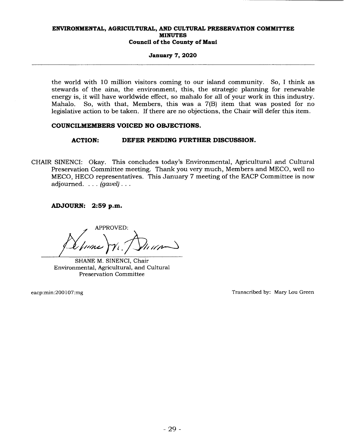#### **January 7, 2020**

the world with 10 million visitors coming to our island community. So, I think as stewards of the aina, the environment, this, the strategic planning for renewable energy is, it will have worldwide effect, so mahalo for all of your work in this industry. Mahalo. So, with that, Members, this was a 7(B) item that was posted for no legislative action to be taken. If there are no objections, the Chair will defer this item.

### **COUNCILMEMBERS VOICED NO OBJECTIONS.**

## **ACTION: DEFER PENDING FURTHER DISCUSSION.**

CHAIR SINENCI: Okay. This concludes today's Environmental, Agricultural and Cultural Preservation Committee meeting. Thank you very much, Members and MECO, well no MECO, HECO representatives. This January 7 meeting of the EACP Committee is now adjourned.  $\ldots$  (gavel)...

**ADJOURN: 2:59 p.m.** 

APPROVED:

SHANE M. SINENCI, Chair Environmental, Agricultural, and Cultural Preservation Committee

eacp:min:200107:mg

Transcribed by: Mary Lou Green